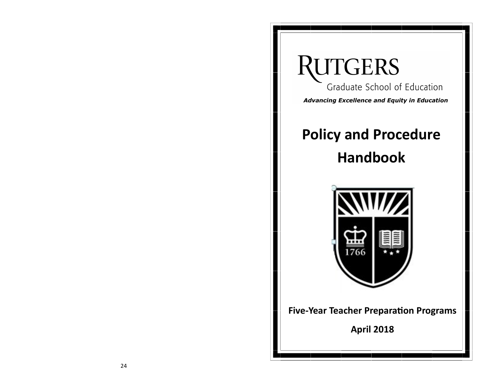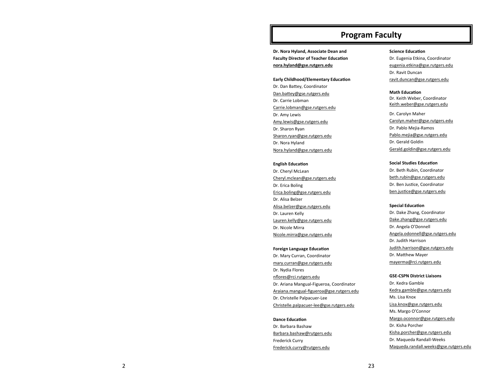## **Program Faculty**

**Dr. Nora Hyland, Associate Dean and Faculty Director of Teacher Education nora.hyland@gse.rutgers.edu** 

**Early Childhood/Elementary Education** Dr. Dan Battey, Coordinator Dan.battey@gse.rutgers.edu Dr. Carrie Lobman Carrie.lobman@gse.rutgers.edu Dr. Amy Lewis Amy.lewis@gse.rutgers.edu Dr. Sharon Ryan Sharon.ryan@gse.rutgers.edu Dr. Nora Hyland Nora.hyland@gse.rutgers.edu

#### **English Education**

Dr. Cheryl McLean Cheryl.mclean@gse.rutgers.edu Dr. Erica Boling Erica.boling@gse.rutgers.edu Dr. Alisa Belzer Alisa.belzer@gse.rutgers.edu Dr. Lauren Kelly Lauren.kelly@gse.rutgers.edu Dr. Nicole Mirra Nicole.mirra@gse.rutgers.edu

#### **Foreign Language Education**

Dr. Mary Curran, Coordinator mary.curran@gse.rutgers.edu Dr. Nydia Flores nflores@rci.rutgers.edu Dr. Ariana Mangual -Figueroa, Coordinator Araiana.mangual -figueroa@gse.rutgers.edu Dr. Christelle Palpacuer -Lee Christelle.palpacuer -lee@gse.rutgers.edu

#### **Dance Education**

Dr. Barbara Bashaw Barbara.bashaw@rutgers.edu Frederick Curry Frederick.curry@rutgers.edu

**Science Education** Dr. Eugenia Etkina, Coordinator eugenia.etkina@gse.rutgers.edu Dr. Ravit Duncan

ravit.duncan@gse.rutgers.edu

#### **Math Education**

Dr. Keith Weber, Coordinator Keith.weber@gse.rutgers.edu

Dr. Carolyn Maher Carolyn.maher@gse.rutgers.edu Dr. Pablo Mejia -Ramos Pablo.mejia@gse.rutgers.edu Dr. Gerald Goldin Gerald.goldin@gse.rutgers.edu

**Social Studies Education**  Dr. Beth Rubin, Coordinator beth.rubin@gse.rutgers.edu Dr. Ben Justice, Coordinator ben.justice@gse.rutgers.edu

#### **Special Education**

Dr. Dake Zhang, Coordinator Dake.zhang@gse.rutgers.edu Dr. Angela O'Donnell Angela.odonnell@gse.rutgers.edu Dr. Judith Harrison Judith.harrison@gse.rutgers.edu Dr. Matthew Mayer mayerma@rci.rutgers.edu

#### **GSE -CSPN District Liaisons**

Dr. Kedra Gamble Kedra.gamble@gse.rutgers.edu Ms. Lisa Knox Lisa.knox@gse.rutgers.edu Ms. Margo O'Connor Margo.oconnor@gse.rutgers.edu Dr. Kisha Porcher Kisha.porcher@gse.rutgers.edu Dr. Maqueda Randall -Weeks Maqueda.randall.weeks@gse.rutgers.edu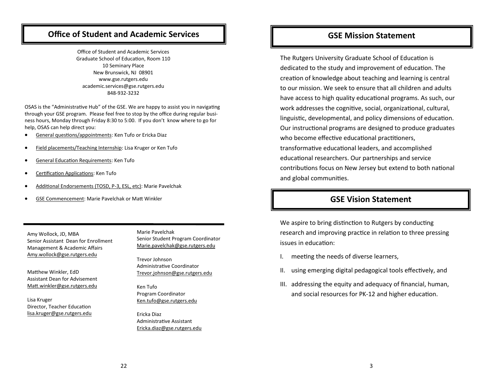## **Office of Student and Academic Services**

Office of Student and Academic Services Graduate School of Education, Room 110 10 Seminary Place New Brunswick, NJ 08901 www.gse.rutgers.edu academic.services@gse.rutgers.edu 848-932-3232

OSAS is the "Administrative Hub" of the GSE. We are happy to assist you in navigating through your GSE program. Please feel free to stop by the office during regular business hours, Monday through Friday 8:30 to 5:00. If you don't know where to go for help, OSAS can help direct you:

- General questions/appointments: Ken Tufo or Ericka Diaz
- Field placements/Teaching Internship: Lisa Kruger or Ken Tufo
- General Education Requirements: Ken Tufo
- Certification Applications: Ken Tufo
- Additional Endorsements (TOSD, P-3, ESL, etc): Marie Pavelchak
- GSE Commencement: Marie Pavelchak or Matt Winkler

Amy Wollock, JD, MBA Senior Assistant Dean for Enrollment Management & Academic Affairs Amy.wollock@gse.rutgers.edu

Matthew Winkler, EdD Assistant Dean for Advisement Matt.winkler@gse.rutgers.edu

Lisa Kruger Director, Teacher Education lisa.kruger@gse.rutgers.edu Marie Pavelchak Senior Student Program Coordinator Marie.pavelchak@gse.rutgers.edu

Trevor Johnson Administrative Coordinator Trevor.johnson@gse.rutgers.edu

Ken Tufo Program Coordinator Ken.tufo@gse.rutgers.edu

Ericka Diaz Administrative Assistant Ericka.diaz@gse.rutgers.edu

## **GSE Mission Statement**

The Rutgers University Graduate School of Education is dedicated to the study and improvement of education. The creation of knowledge about teaching and learning is central to our mission. We seek to ensure that all children and adults have access to high quality educational programs. As such, our work addresses the cognitive, social, organizational, cultural, linguistic, developmental, and policy dimensions of education. Our instructional programs are designed to produce graduates who become effective educational practitioners, transformative educational leaders, and accomplished educational researchers. Our partnerships and service contributions focus on New Jersey but extend to both national and global communities.

## **GSE Vision Statement**

We aspire to bring distinction to Rutgers by conducting research and improving practice in relation to three pressing issues in education:

- I. meeting the needs of diverse learners,
- II. using emerging digital pedagogical tools effectively, and
- III. addressing the equity and adequacy of financial, human, and social resources for PK-12 and higher education.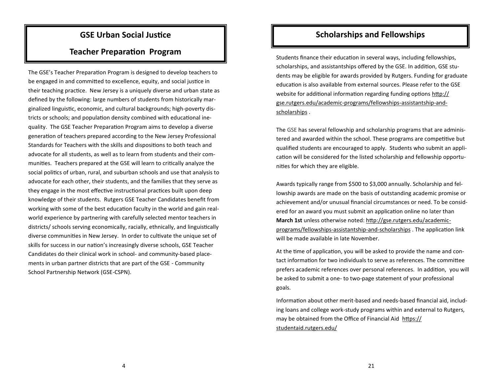# **GSE Urban Social Justice**

## **Teacher Preparation Program**

The GSE's Teacher Preparation Program is designed to develop teachers to be engaged in and committed to excellence, equity, and social justice in their teaching practice. New Jersey is a uniquely diverse and urban state as defined by the following: large numbers of students from historically marginalized linguistic, economic, and cultural backgrounds; high-poverty districts or schools; and population density combined with educational inequality. The GSE Teacher Preparation Program aims to develop a diverse generation of teachers prepared according to the New Jersey Professional Standards for Teachers with the skills and dispositions to both teach and advocate for all students, as well as to learn from students and their communities. Teachers prepared at the GSE will learn to critically analyze the social politics of urban, rural, and suburban schools and use that analysis to advocate for each other, their students, and the families that they serve as they engage in the most effective instructional practices built upon deep knowledge of their students. Rutgers GSE Teacher Candidates benefit from working with some of the best education faculty in the world and gain realworld experience by partnering with carefully selected mentor teachers in districts/ schools serving economically, racially, ethnically, and linguistically diverse communities in New Jersey. In order to cultivate the unique set of skills for success in our nation's increasingly diverse schools, GSE Teacher Candidates do their clinical work in school- and community-based placements in urban partner districts that are part of the GSE - Community School Partnership Network (GSE-CSPN).

## **Scholarships and Fellowships**

Students finance their education in several ways, including fellowships, scholarships, and assistantships offered by the GSE. In addition, GSE students may be eligible for awards provided by Rutgers. Funding for graduate education is also available from external sources. Please refer to the GSE website for additional information regarding funding options http:// gse.rutgers.edu/academic-programs/fellowships-assistantship-andscholarships .

The GSE has several fellowship and scholarship programs that are administered and awarded within the school. These programs are competitive but qualified students are encouraged to apply. Students who submit an application will be considered for the listed scholarship and fellowship opportunities for which they are eligible.

Awards typically range from \$500 to \$3,000 annually. Scholarship and fellowship awards are made on the basis of outstanding academic promise or achievement and/or unusual financial circumstances or need. To be considered for an award you must submit an application online no later than **March 1st** unless otherwise noted: http://gse.rutgers.edu/academicprograms/fellowships-assistantship-and-scholarships . The application link will be made available in late November.

At the time of application, you will be asked to provide the name and contact information for two individuals to serve as references. The committee prefers academic references over personal references. In addition, you will be asked to submit a one- to two-page statement of your professional goals.

Information about other merit-based and needs-based financial aid, including loans and college work-study programs within and external to Rutgers, may be obtained from the Office of Financial Aid https:// studentaid.rutgers.edu/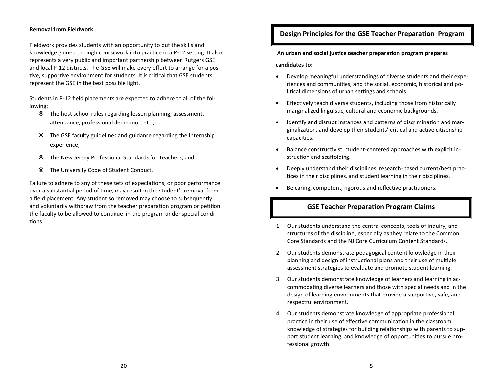## **Removal from Fieldwork**

Fieldwork provides students with an opportunity to put the skills and knowledge gained through coursework into practice in a P-12 setting. It also represents a very public and important partnership between Rutgers GSE and local P-12 districts. The GSE will make every effort to arrange for a positive, supportive environment for students. It is critical that GSE students represent the GSE in the best possible light.

Students in P-12 field placements are expected to adhere to all of the following:

- The host school rules regarding lesson planning, assessment, attendance, professional demeanor, etc.;
- The GSE faculty guidelines and guidance regarding the Internship experience;
- The New Jersey Professional Standards for Teachers; and,
- The University Code of Student Conduct.

Failure to adhere to any of these sets of expectations, or poor performance over a substantial period of time, may result in the student's removal from a field placement. Any student so removed may choose to subsequently and voluntarily withdraw from the teacher preparation program or petition the faculty to be allowed to continue in the program under special conditions.

## **Design Principles for the GSE Teacher Preparation Program**

**An urban and social justice teacher preparation program prepares** 

### **candidates to:**

- Develop meaningful understandings of diverse students and their experiences and communities, and the social, economic, historical and political dimensions of urban settings and schools.
- Effectively teach diverse students, including those from historically marginalized linguistic, cultural and economic backgrounds.
- Identify and disrupt instances and patterns of discrimination and marginalization, and develop their students' critical and active citizenship capacities.
- Balance constructivist, student-centered approaches with explicit instruction and scaffolding.
- Deeply understand their disciplines, research-based current/best practices in their disciplines, and student learning in their disciplines.
- Be caring, competent, rigorous and reflective practitioners.

## **GSE Teacher Preparation Program Claims**

- 1. Our students understand the central concepts, tools of inquiry, and structures of the discipline, especially as they relate to the Common Core Standards and the NJ Core Curriculum Content Standards.
- 2. Our students demonstrate pedagogical content knowledge in their planning and design of instructional plans and their use of multiple assessment strategies to evaluate and promote student learning.
- 3. Our students demonstrate knowledge of learners and learning in accommodating diverse learners and those with special needs and in the design of learning environments that provide a supportive, safe, and respectful environment.
- 4. Our students demonstrate knowledge of appropriate professional practice in their use of effective communication in the classroom, knowledge of strategies for building relationships with parents to support student learning, and knowledge of opportunities to pursue professional growth.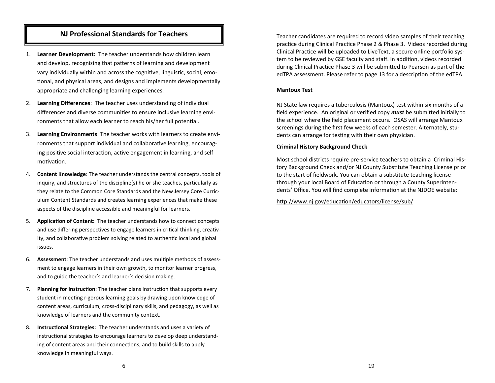## **NJ Professional Standards for Teachers**

- 1. **Learner Development:** The teacher understands how children learn and develop, recognizing that patterns of learning and development vary individually within and across the cognitive, linguistic, social, emotional, and physical areas, and designs and implements developmentally appropriate and challenging learning experiences.
- 2. **Learning Differences**: The teacher uses understanding of individual differences and diverse communities to ensure inclusive learning environments that allow each learner to reach his/her full potential.
- 3. **Learning Environments**: The teacher works with learners to create environments that support individual and collaborative learning, encouraging positive social interaction, active engagement in learning, and self motivation.
- 4. **Content Knowledge**: The teacher understands the central concepts, tools of inquiry, and structures of the discipline(s) he or she teaches, particularly as they relate to the Common Core Standards and the New Jersey Core Curriculum Content Standards and creates learning experiences that make these aspects of the discipline accessible and meaningful for learners.
- 5. **Application of Content:** The teacher understands how to connect concepts and use differing perspectives to engage learners in critical thinking, creativity, and collaborative problem solving related to authentic local and global issues.
- 6. **Assessment**: The teacher understands and uses multiple methods of assessment to engage learners in their own growth, to monitor learner progress, and to guide the teacher's and learner's decision making.
- 7. **Planning for Instruction**: The teacher plans instruction that supports every student in meeting rigorous learning goals by drawing upon knowledge of content areas, curriculum, cross-disciplinary skills, and pedagogy, as well as knowledge of learners and the community context.
- 8. **Instructional Strategies:** The teacher understands and uses a variety of instructional strategies to encourage learners to develop deep understanding of content areas and their connections, and to build skills to apply knowledge in meaningful ways.

Teacher candidates are required to record video samples of their teaching practice during Clinical Practice Phase 2 & Phase 3. Videos recorded during Clinical Practice will be uploaded to LiveText, a secure online portfolio system to be reviewed by GSE faculty and staff. In addition, videos recorded during Clinical Practice Phase 3 will be submitted to Pearson as part of the edTPA assessment. Please refer to page 13 for a description of the edTPA.

### **Mantoux Test**

NJ State law requires a tuberculosis (Mantoux) test within six months of a field experience. An original or verified copy *must* be submitted initially to the school where the field placement occurs. OSAS will arrange Mantoux screenings during the first few weeks of each semester. Alternately, students can arrange for testing with their own physician.

### **Criminal History Background Check**

Most school districts require pre-service teachers to obtain a Criminal History Background Check and/or NJ County Substitute Teaching License prior to the start of fieldwork. You can obtain a substitute teaching license through your local Board of Education or through a County Superintendents' Office. You will find complete information at the NJDOE website:

http://www.nj.gov/education/educators/license/sub/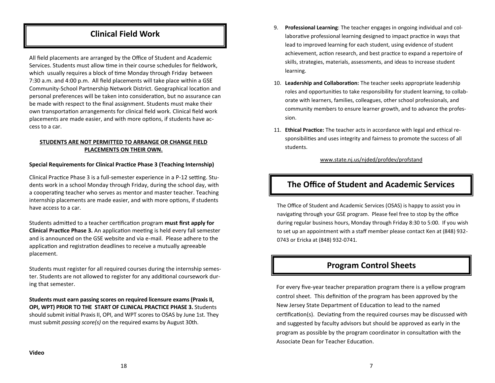## **Clinical Field Work**

All field placements are arranged by the Office of Student and Academic Services. Students must allow time in their course schedules for fieldwork, which usually requires a block of time Monday through Friday between 7:30 a.m. and 4:00 p.m. All field placements will take place within a GSE Community-School Partnership Network District. Geographical location and personal preferences will be taken into consideration, but no assurance can be made with respect to the final assignment. Students must make their own transportation arrangements for clinical field work. Clinical field work placements are made easier, and with more options, if students have access to a car.

## **STUDENTS ARE NOT PERMITTED TO ARRANGE OR CHANGE FIELD PLACEMENTS ON THEIR OWN.**

## **Special Requirements for Clinical Practice Phase 3 (Teaching Internship)**

Clinical Practice Phase 3 is a full-semester experience in a P-12 setting. Students work in a school Monday through Friday, during the school day, with a cooperating teacher who serves as mentor and master teacher. Teaching internship placements are made easier, and with more options, if students have access to a car.

Students admitted to a teacher certification program **must first apply for Clinical Practice Phase 3.** An application meeting is held every fall semester and is announced on the GSE website and via e-mail. Please adhere to the application and registration deadlines to receive a mutually agreeable placement.

Students must register for all required courses during the internship semester. Students are not allowed to register for any additional coursework during that semester.

**Students must earn passing scores on required licensure exams (Praxis II, OPI, WPT) PRIOR TO THE START OF CLINICAL PRACTICE PHASE 3.** Students should submit initial Praxis II, OPI, and WPT scores to OSAS by June 1st. They must submit *passing score(s)* on the required exams by August 30th.

- 9. **Professional Learning**: The teacher engages in ongoing individual and collaborative professional learning designed to impact practice in ways that lead to improved learning for each student, using evidence of student achievement, action research, and best practice to expand a repertoire of skills, strategies, materials, assessments, and ideas to increase student learning.
- 10. **Leadership and Collaboration:** The teacher seeks appropriate leadership roles and opportunities to take responsibility for student learning, to collaborate with learners, families, colleagues, other school professionals, and community members to ensure learner growth, and to advance the profession.
- 11. **Ethical Practice:** The teacher acts in accordance with legal and ethical responsibilities and uses integrity and fairness to promote the success of all students.

www.state.nj.us/njded/profdev/profstand

# **The Office of Student and Academic Services**

The Office of Student and Academic Services (OSAS) is happy to assist you in navigating through your GSE program. Please feel free to stop by the office during regular business hours, Monday through Friday 8:30 to 5:00. If you wish to set up an appointment with a staff member please contact Ken at (848) 932- 0743 or Ericka at (848) 932-0741.

# **Program Control Sheets**

For every five-year teacher preparation program there is a yellow program control sheet. This definition of the program has been approved by the New Jersey State Department of Education to lead to the named certification(s). Deviating from the required courses may be discussed with and suggested by faculty advisors but should be approved as early in the program as possible by the program coordinator in consultation with the Associate Dean for Teacher Education.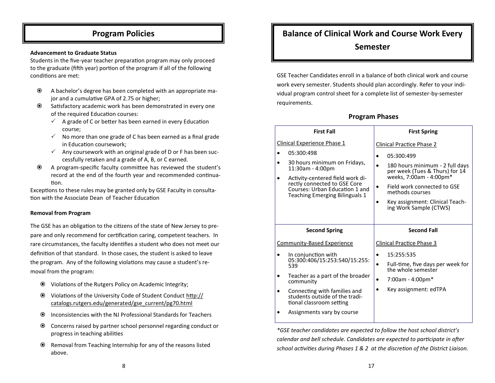## **Program Policies**

### **Advancement to Graduate Status**

Students in the five-year teacher preparation program may only proceed to the graduate (fifth year) portion of the program if all of the following conditions are met:

- A bachelor's degree has been completed with an appropriate major and a cumulative GPA of 2.75 or higher;
- Satisfactory academic work has been demonstrated in every one of the required Education courses:
	- $\checkmark$  A grade of C or better has been earned in every Education course;
	- $\checkmark$  No more than one grade of C has been earned as a final grade in Education coursework;
	- $\checkmark$  Any coursework with an original grade of D or F has been successfully retaken and a grade of A, B, or C earned.
- A program-specific faculty committee has reviewed the student's record at the end of the fourth year and recommended continuation.

Exceptions to these rules may be granted only by GSE Faculty in consultation with the Associate Dean of Teacher Education

## **Removal from Program**

The GSE has an obligation to the citizens of the state of New Jersey to prepare and only recommend for certification caring, competent teachers. In rare circumstances, the faculty identifies a student who does not meet our definition of that standard. In those cases, the student is asked to leave the program. Any of the following violations may cause a student's removal from the program:

- Violations of the Rutgers Policy on Academic Integrity;
- Violations of the University Code of Student Conduct http:// catalogs.rutgers.edu/generated/gse\_current/pg70.html
- $\odot$  Inconsistencies with the NJ Professional Standards for Teachers
- Concerns raised by partner school personnel regarding conduct or progress in teaching abilities
- Removal from Teaching Internship for any of the reasons listed above.

# **Balance of Clinical Work and Course Work Every Semester**

GSE Teacher Candidates enroll in a balance of both clinical work and course work every semester. Students should plan accordingly. Refer to your individual program control sheet for a complete list of semester-by-semester requirements.

## **Program Phases**

| <b>First Fall</b>                                                                                                                                                                                             | <b>First Spring</b>                                                                                                                                                                                                            |
|---------------------------------------------------------------------------------------------------------------------------------------------------------------------------------------------------------------|--------------------------------------------------------------------------------------------------------------------------------------------------------------------------------------------------------------------------------|
| <b>Clinical Experience Phase 1</b>                                                                                                                                                                            | Clinical Practice Phase 2                                                                                                                                                                                                      |
| 05:300:498<br>30 hours minimum on Fridays,<br>11:30am - 4:00pm<br>Activity-centered field work di-<br>rectly connected to GSE Core<br>Courses: Urban Education 1 and<br><b>Teaching Emerging Bilinguals 1</b> | 05:300:499<br>180 hours minimum - 2 full days<br>per week (Tues & Thurs) for 14<br>weeks, 7:00am - 4:00pm*<br>Field work connected to GSE<br>٠<br>methods courses<br>Key assignment: Clinical Teach-<br>ing Work Sample (CTWS) |
|                                                                                                                                                                                                               |                                                                                                                                                                                                                                |
| <b>Second Spring</b>                                                                                                                                                                                          | <b>Second Fall</b>                                                                                                                                                                                                             |
| <b>Community-Based Experience</b>                                                                                                                                                                             | <b>Clinical Practice Phase 3</b>                                                                                                                                                                                               |
| In conjunction with<br>05:300:406/15:253:540/15:255:<br>539                                                                                                                                                   | 15:255:535<br>Full-time, five days per week for<br>the whole semester                                                                                                                                                          |
| Teacher as a part of the broader<br>community<br>Connecting with families and<br>students outside of the tradi-<br>tional classroom setting                                                                   | 7:00am - 4:00pm*<br>Key assignment: edTPA                                                                                                                                                                                      |

*\*GSE teacher candidates are expected to follow the host school district's calendar and bell schedule. Candidates are expected to participate in after school activities during Phases 1 & 2 at the discretion of the District Liaison.*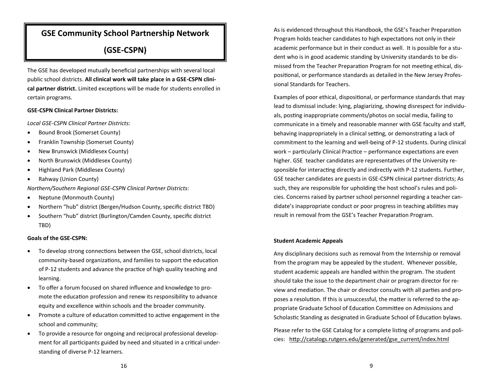# **GSE Community School Partnership Network**

# **(GSE-CSPN)**

The GSE has developed mutually beneficial partnerships with several local public school districts. **All clinical work will take place in a GSE-CSPN clinical partner district.** Limited exceptions will be made for students enrolled in certain programs.

### **GSE-CSPN Clinical Partner Districts:**

*Local GSE-CSPN Clinical Partner Districts:*

- Bound Brook (Somerset County)
- Franklin Township (Somerset County)
- New Brunswick (Middlesex County)
- North Brunswick (Middlesex County)
- Highland Park (Middlesex County)
- Rahway (Union County)

*Northern/Southern Regional GSE-CSPN Clinical Partner Districts:*

- Neptune (Monmouth County)
- Northern "hub" district (Bergen/Hudson County, specific district TBD)
- Southern "hub" district (Burlington/Camden County, specific district TBD)

### **Goals of the GSE-CSPN:**

- To develop strong connections between the GSE, school districts, local community-based organizations, and families to support the education of P-12 students and advance the practice of high quality teaching and learning.
- To offer a forum focused on shared influence and knowledge to promote the education profession and renew its responsibility to advance equity and excellence within schools and the broader community.
- Promote a culture of education committed to active engagement in the school and community;
- To provide a resource for ongoing and reciprocal professional development for all participants guided by need and situated in a critical understanding of diverse P-12 learners.

As is evidenced throughout this Handbook, the GSE's Teacher Preparation Program holds teacher candidates to high expectations not only in their academic performance but in their conduct as well. It is possible for a student who is in good academic standing by University standards to be dismissed from the Teacher Preparation Program for not meeting ethical, dispositional, or performance standards as detailed in the New Jersey Professional Standards for Teachers.

Examples of poor ethical, dispositional, or performance standards that may lead to dismissal include: lying, plagiarizing, showing disrespect for individuals, posting inappropriate comments/photos on social media, failing to communicate in a timely and reasonable manner with GSE faculty and staff, behaving inappropriately in a clinical setting, or demonstrating a lack of commitment to the learning and well-being of P-12 students. During clinical work – particularly Clinical Practice – performance expectations are even higher. GSE teacher candidates are representatives of the University responsible for interacting directly and indirectly with P-12 students. Further, GSE teacher candidates are guests in GSE-CSPN clinical partner districts; As such, they are responsible for upholding the host school's rules and policies. Concerns raised by partner school personnel regarding a teacher candidate's inappropriate conduct or poor progress in teaching abilities may result in removal from the GSE's Teacher Preparation Program.

### **Student Academic Appeals**

Any disciplinary decisions such as removal from the Internship or removal from the program may be appealed by the student. Whenever possible, student academic appeals are handled within the program. The student should take the issue to the department chair or program director for review and mediation. The chair or director consults with all parties and proposes a resolution. If this is unsuccessful, the matter is referred to the appropriate Graduate School of Education Committee on Admissions and Scholastic Standing as designated in Graduate School of Education bylaws.

Please refer to the GSE Catalog for a complete listing of programs and policies: http://catalogs.rutgers.edu/generated/gse\_current/index.html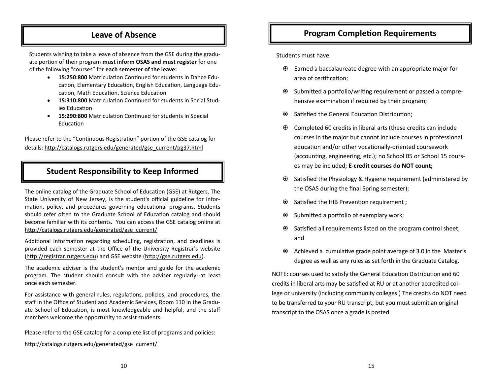## **Leave of Absence**

Students wishing to take a leave of absence from the GSE during the graduate portion of their program **must inform OSAS and must register** for one of the following "courses" for **each semester of the leave:**

- **15:250:800** Matriculation Continued for students in Dance Education, Elementary Education, English Education, Language Education, Math Education, Science Education
- **15:310:800** Matriculation Continued for students in Social Studies Education
- **15:290:800** Matriculation Continued for students in Special **Education**

Please refer to the "Continuous Registration" portion of the GSE catalog for details: http://catalogs.rutgers.edu/generated/gse\_current/pg37.html

# **Student Responsibility to Keep Informed**

The online catalog of the Graduate School of Education (GSE) at Rutgers, The State University of New Jersey, is the student's official guideline for information, policy, and procedures governing educational programs. Students should refer often to the Graduate School of Education catalog and should become familiar with its contents. You can access the GSE catalog online at http://catalogs.rutgers.edu/generated/gse\_current/

Additional information regarding scheduling, registration, and deadlines is provided each semester at the Office of the University Registrar's website (http://registrar.rutgers.edu) and GSE website (http://gse.rutgers.edu).

The academic adviser is the student's mentor and guide for the academic program. The student should consult with the adviser regularly--at least once each semester.

For assistance with general rules, regulations, policies, and procedures, the staff in the Office of Student and Academic Services, Room 110 in the Graduate School of Education, is most knowledgeable and helpful, and the staff members welcome the opportunity to assist students.

Please refer to the GSE catalog for a complete list of programs and policies:

## http://catalogs.rutgers.edu/generated/gse\_current/

## **Program Completion Requirements**

Students must have

- Earned a baccalaureate degree with an appropriate major for area of certification;
- Submitted a portfolio/writing requirement or passed a comprehensive examination if required by their program;
- Satisfied the General Education Distribution;
- Completed 60 credits in liberal arts (these credits can include courses in the major but cannot include courses in professional education and/or other vocationally-oriented coursework (accounting, engineering, etc.); no School 05 or School 15 courses may be included; **E-credit courses do NOT count;**
- Satisfied the Physiology & Hygiene requirement (administered by the OSAS during the final Spring semester);
- **◎** Satisfied the HIB Prevention requirement ;
- $\odot$  Submitted a portfolio of exemplary work;
- Satisfied all requirements listed on the program control sheet; and
- Achieved a cumulative grade point average of 3.0 in the Master's degree as well as any rules as set forth in the Graduate Catalog.

NOTE: courses used to satisfy the General Education Distribution and 60 credits in liberal arts may be satisfied at RU or at another accredited college or university (including community colleges.) The credits do NOT need to be transferred to your RU transcript, but you must submit an original transcript to the OSAS once a grade is posted.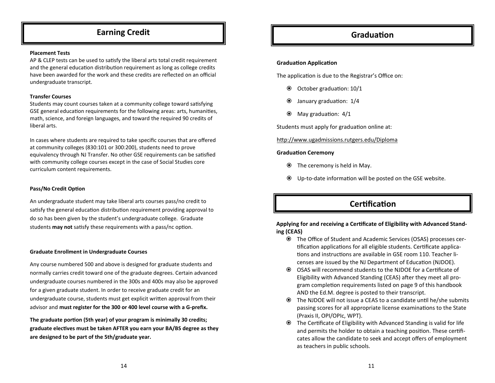## **Earning Credit**

### **Placement Tests**

AP & CLEP tests can be used to satisfy the liberal arts total credit requirement and the general education distribution requirement as long as college credits have been awarded for the work and these credits are reflected on an official undergraduate transcript.

### **Transfer Courses**

Students may count courses taken at a community college toward satisfying GSE general education requirements for the following areas: arts, humanities, math, science, and foreign languages, and toward the required 90 credits of liberal arts.

In cases where students are required to take specific courses that are offered at community colleges (830:101 or 300:200), students need to prove equivalency through NJ Transfer. No other GSE requirements can be satisfied with community college courses except in the case of Social Studies core curriculum content requirements.

### **Pass/No Credit Option**

An undergraduate student may take liberal arts courses pass/no credit to satisfy the general education distribution requirement providing approval to do so has been given by the student's undergraduate college. Graduate students **may not** satisfy these requirements with a pass/nc option.

#### **Graduate Enrollment in Undergraduate Courses**

Any course numbered 500 and above is designed for graduate students and normally carries credit toward one of the graduate degrees. Certain advanced undergraduate courses numbered in the 300s and 400s may also be approved for a given graduate student. In order to receive graduate credit for an undergraduate course, students must get explicit written approval from their advisor and **must register for the 300 or 400 level course with a G-prefix.**

**The graduate portion (5th year) of your program is minimally 30 credits; graduate electives must be taken AFTER you earn your BA/BS degree as they are designed to be part of the 5th/graduate year.**

## **Graduation**

### **Graduation Application**

The application is due to the Registrar's Office on:

- October graduation: 10/1
- January graduation: 1/4
- May graduation: 4/1

Students must apply for graduation online at:

http://www.ugadmissions.rutgers.edu/Diploma

### **Graduation Ceremony**

- The ceremony is held in May.
- Up-to-date information will be posted on the GSE website.

## **Certification**

### **Applying for and receiving a Certificate of Eligibility with Advanced Standing (CEAS)**

- The Office of Student and Academic Services (OSAS) processes certification applications for all eligible students. Certificate applications and instructions are available in GSE room 110. Teacher licenses are issued by the NJ Department of Education (NJDOE).
- OSAS will recommend students to the NJDOE for a Certificate of Eligibility with Advanced Standing (CEAS) after they meet all program completion requirements listed on page 9 of this handbook AND the Ed.M. degree is posted to their transcript.
- The NJDOE will not issue a CEAS to a candidate until he/she submits passing scores for all appropriate license examinations to the State (Praxis II, OPI/OPIc, WPT).
- The Certificate of Eligibility with Advanced Standing is valid for life and permits the holder to obtain a teaching position. These certificates allow the candidate to seek and accept offers of employment as teachers in public schools.